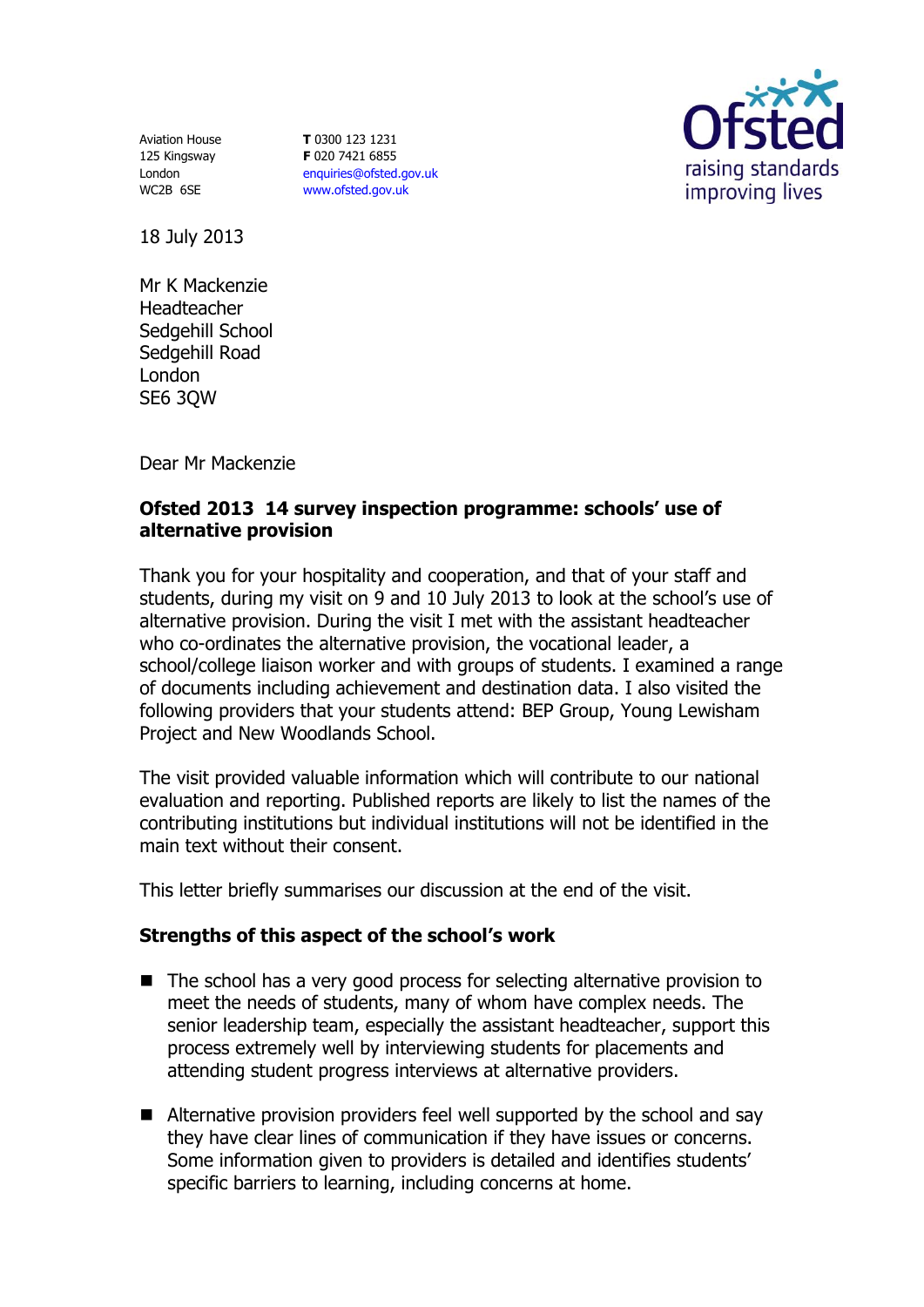Aviation House 125 Kingsway London WC2B 6SE

**T** 0300 123 1231 **F** 020 7421 6855 [enquiries@ofsted.gov.uk](mailto:enquiries@ofsted.gov.uk) [www.ofsted.gov.uk](http://www.ofsted.gov.uk/)



18 July 2013

Mr K Mackenzie Headteacher Sedgehill School Sedgehill Road London SE6 3QW

Dear Mr Mackenzie

## **Ofsted 2013 14 survey inspection programme: schools' use of alternative provision**

Thank you for your hospitality and cooperation, and that of your staff and students, during my visit on 9 and 10 July 2013 to look at the school's use of alternative provision. During the visit I met with the assistant headteacher who co-ordinates the alternative provision, the vocational leader, a school/college liaison worker and with groups of students. I examined a range of documents including achievement and destination data. I also visited the following providers that your students attend: BEP Group, Young Lewisham Project and New Woodlands School.

The visit provided valuable information which will contribute to our national evaluation and reporting. Published reports are likely to list the names of the contributing institutions but individual institutions will not be identified in the main text without their consent.

This letter briefly summarises our discussion at the end of the visit.

## **Strengths of this aspect of the school's work**

- The school has a very good process for selecting alternative provision to meet the needs of students, many of whom have complex needs. The senior leadership team, especially the assistant headteacher, support this process extremely well by interviewing students for placements and attending student progress interviews at alternative providers.
- Alternative provision providers feel well supported by the school and say they have clear lines of communication if they have issues or concerns. Some information given to providers is detailed and identifies students' specific barriers to learning, including concerns at home.